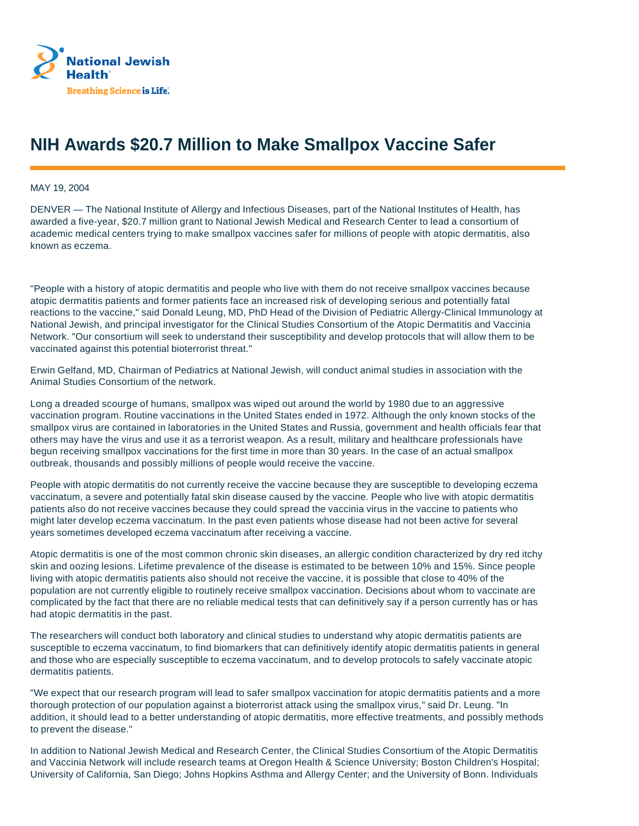

## **NIH Awards \$20.7 Million to Make Smallpox Vaccine Safer**

MAY 19, 2004

DENVER — The National Institute of Allergy and Infectious Diseases, part of the National Institutes of Health, has awarded a five-year, \$20.7 million grant to National Jewish Medical and Research Center to lead a consortium of academic medical centers trying to make smallpox vaccines safer for millions of people with atopic dermatitis, also known as eczema.

"People with a history of atopic dermatitis and people who live with them do not receive smallpox vaccines because atopic dermatitis patients and former patients face an increased risk of developing serious and potentially fatal reactions to the vaccine," said Donald Leung, MD, PhD Head of the Division of Pediatric Allergy-Clinical Immunology at National Jewish, and principal investigator for the Clinical Studies Consortium of the Atopic Dermatitis and Vaccinia Network. "Our consortium will seek to understand their susceptibility and develop protocols that will allow them to be vaccinated against this potential bioterrorist threat."

Erwin Gelfand, MD, Chairman of Pediatrics at National Jewish, will conduct animal studies in association with the Animal Studies Consortium of the network.

Long a dreaded scourge of humans, smallpox was wiped out around the world by 1980 due to an aggressive vaccination program. Routine vaccinations in the United States ended in 1972. Although the only known stocks of the smallpox virus are contained in laboratories in the United States and Russia, government and health officials fear that others may have the virus and use it as a terrorist weapon. As a result, military and healthcare professionals have begun receiving smallpox vaccinations for the first time in more than 30 years. In the case of an actual smallpox outbreak, thousands and possibly millions of people would receive the vaccine.

People with atopic dermatitis do not currently receive the vaccine because they are susceptible to developing eczema vaccinatum, a severe and potentially fatal skin disease caused by the vaccine. People who live with atopic dermatitis patients also do not receive vaccines because they could spread the vaccinia virus in the vaccine to patients who might later develop eczema vaccinatum. In the past even patients whose disease had not been active for several years sometimes developed eczema vaccinatum after receiving a vaccine.

Atopic dermatitis is one of the most common chronic skin diseases, an allergic condition characterized by dry red itchy skin and oozing lesions. Lifetime prevalence of the disease is estimated to be between 10% and 15%. Since people living with atopic dermatitis patients also should not receive the vaccine, it is possible that close to 40% of the population are not currently eligible to routinely receive smallpox vaccination. Decisions about whom to vaccinate are complicated by the fact that there are no reliable medical tests that can definitively say if a person currently has or has had atopic dermatitis in the past.

The researchers will conduct both laboratory and clinical studies to understand why atopic dermatitis patients are susceptible to eczema vaccinatum, to find biomarkers that can definitively identify atopic dermatitis patients in general and those who are especially susceptible to eczema vaccinatum, and to develop protocols to safely vaccinate atopic dermatitis patients.

"We expect that our research program will lead to safer smallpox vaccination for atopic dermatitis patients and a more thorough protection of our population against a bioterrorist attack using the smallpox virus," said Dr. Leung. "In addition, it should lead to a better understanding of atopic dermatitis, more effective treatments, and possibly methods to prevent the disease."

In addition to National Jewish Medical and Research Center, the Clinical Studies Consortium of the Atopic Dermatitis and Vaccinia Network will include research teams at Oregon Health & Science University; Boston Children's Hospital; University of California, San Diego; Johns Hopkins Asthma and Allergy Center; and the University of Bonn. Individuals